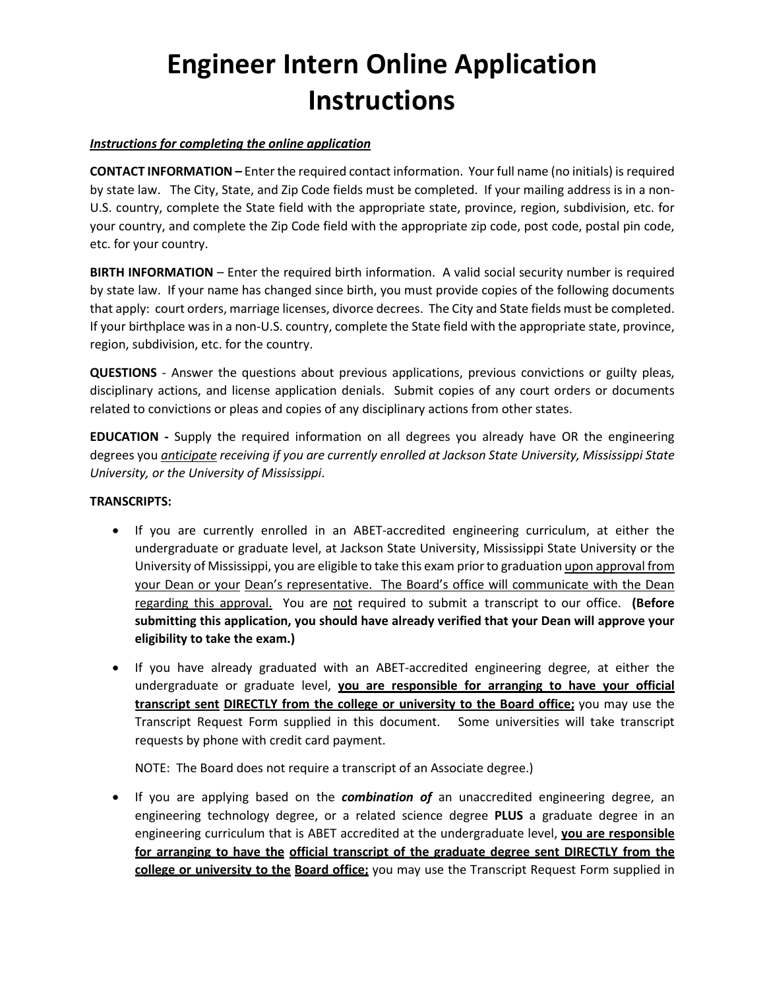# **Engineer Intern Online Application Instructions**

#### *Instructions for completing the online application*

**CONTACT INFORMATION –** Enter the required contact information. Your full name (no initials) is required by state law. The City, State, and Zip Code fields must be completed. If your mailing address is in a non-U.S. country, complete the State field with the appropriate state, province, region, subdivision, etc. for your country, and complete the Zip Code field with the appropriate zip code, post code, postal pin code, etc. for your country.

**BIRTH INFORMATION** – Enter the required birth information. A valid social security number is required by state law. If your name has changed since birth, you must provide copies of the following documents that apply: court orders, marriage licenses, divorce decrees. The City and State fields must be completed. If your birthplace was in a non-U.S. country, complete the State field with the appropriate state, province, region, subdivision, etc. for the country.

**QUESTIONS** - Answer the questions about previous applications, previous convictions or guilty pleas, disciplinary actions, and license application denials. Submit copies of any court orders or documents related to convictions or pleas and copies of any disciplinary actions from other states.

**EDUCATION -** Supply the required information on all degrees you already have OR the engineering degrees you *anticipate receiving if you are currently enrolled at Jackson State University, Mississippi State University, or the University of Mississippi*.

### **TRANSCRIPTS:**

- If you are currently enrolled in an ABET-accredited engineering curriculum, at either the undergraduate or graduate level, at Jackson State University, Mississippi State University or the University of Mississippi, you are eligible to take this exam prior to graduation upon approval from your Dean or your Dean's representative. The Board's office will communicate with the Dean regarding this approval. You are not required to submit a transcript to our office. **(Before submitting this application, you should have already verified that your Dean will approve your eligibility to take the exam.)**
- If you have already graduated with an ABET-accredited engineering degree, at either the undergraduate or graduate level, **you are responsible for arranging to have your official transcript sent DIRECTLY from the college or university to the Board office;** you may use the Transcript Request Form supplied in this document. Some universities will take transcript requests by phone with credit card payment.

NOTE: The Board does not require a transcript of an Associate degree.)

• If you are applying based on the *combination of* an unaccredited engineering degree, an engineering technology degree, or a related science degree **PLUS** a graduate degree in an engineering curriculum that is ABET accredited at the undergraduate level, **you are responsible for arranging to have the official transcript of the graduate degree sent DIRECTLY from the college or university to the Board office;** you may use the Transcript Request Form supplied in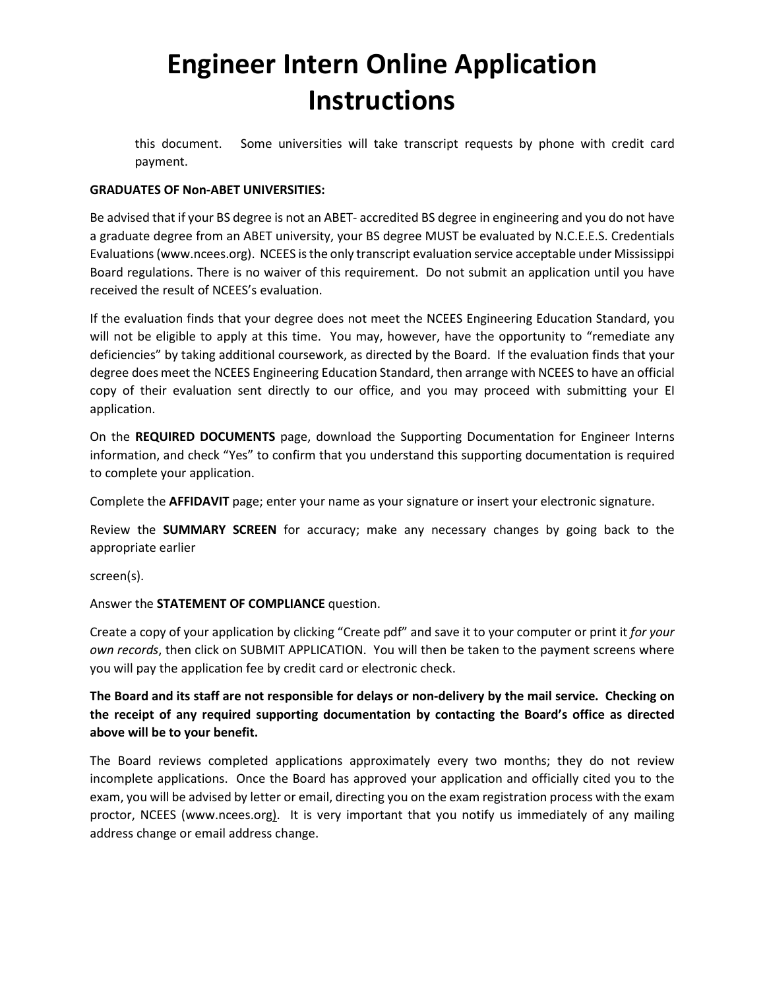# **Engineer Intern Online Application Instructions**

this document. Some universities will take transcript requests by phone with credit card payment.

#### **GRADUATES OF Non-ABET UNIVERSITIES:**

Be advised that if your BS degree is not an ABET- accredited BS degree in engineering and you do not have a graduate degree from an ABET university, your BS degree MUST be evaluated by N.C.E.E.S. Credentials Evaluations (www.ncees.org). NCEES is the only transcript evaluation service acceptable under Mississippi Board regulations. There is no waiver of this requirement. Do not submit an application until you have received the result of NCEES's evaluation.

If the evaluation finds that your degree does not meet the NCEES Engineering Education Standard, you will not be eligible to apply at this time. You may, however, have the opportunity to "remediate any deficiencies" by taking additional coursework, as directed by the Board. If the evaluation finds that your degree does meet the NCEES Engineering Education Standard, then arrange with NCEES to have an official copy of their evaluation sent directly to our office, and you may proceed with submitting your EI application.

On the **REQUIRED DOCUMENTS** page, download the Supporting Documentation for Engineer Interns information, and check "Yes" to confirm that you understand this supporting documentation is required to complete your application.

Complete the **AFFIDAVIT** page; enter your name as your signature or insert your electronic signature.

Review the **SUMMARY SCREEN** for accuracy; make any necessary changes by going back to the appropriate earlier

screen(s).

### Answer the **STATEMENT OF COMPLIANCE** question.

Create a copy of your application by clicking "Create pdf" and save it to your computer or print it *for your own records*, then click on SUBMIT APPLICATION. You will then be taken to the payment screens where you will pay the application fee by credit card or electronic check.

### **The Board and its staff are not responsible for delays or non-delivery by the mail service. Checking on the receipt of any required supporting documentation by contacting the Board's office as directed above will be to your benefit.**

The Board reviews completed applications approximately every two months; they do not review incomplete applications. Once the Board has approved your application and officially cited you to the exam, you will be advised by letter or email, directing you on the exam registration process with the exam proctor, NCEES (www.ncees.org). It is very important that you notify us immediately of any mailing address change or email address change.